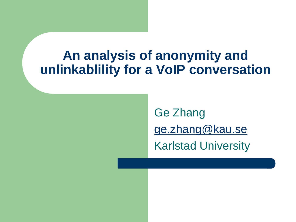#### **An analysis of anonymity and unlinkablility for a VoIP conversation**

Ge Zhang [ge.zhang@kau.se](mailto:ge.zhang@kau.se) Karlstad University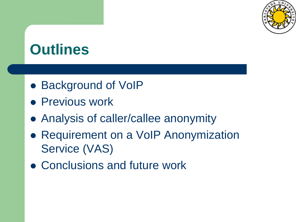

#### **Outlines**

- Background of VoIP
- **Previous work**
- Analysis of caller/callee anonymity
- Requirement on a VoIP Anonymization Service (VAS)
- Conclusions and future work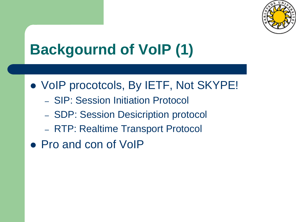

# **Backgournd of VoIP (1)**

- VoIP procotcols, By IETF, Not SKYPE!
	- SIP: Session Initiation Protocol
	- SDP: Session Desicription protocol
	- RTP: Realtime Transport Protocol
- Pro and con of VoIP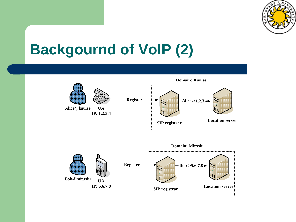

#### **Backgournd of VoIP (2)**



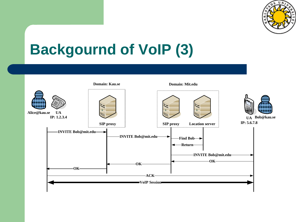

## **Backgournd of VoIP (3)**

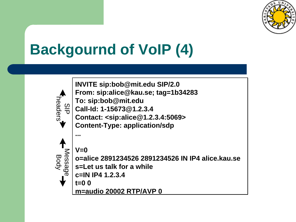

# **Backgournd of VoIP (4)**

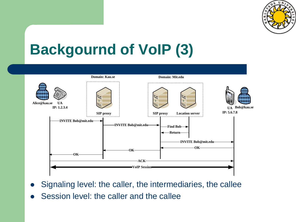

## **Backgournd of VoIP (3)**



- Signaling level: the caller, the intermediaries, the callee
- Session level: the caller and the callee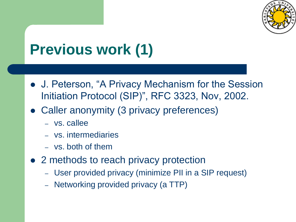

# **Previous work (1)**

- J. Peterson, "A Privacy Mechanism for the Session Initiation Protocol (SIP)", RFC 3323, Nov, 2002.
- Caller anonymity (3 privacy preferences)
	- vs. callee
	- vs. intermediaries
	- vs. both of them
- 2 methods to reach privacy protection
	- User provided privacy (minimize PII in a SIP request)
	- Networking provided privacy (a TTP)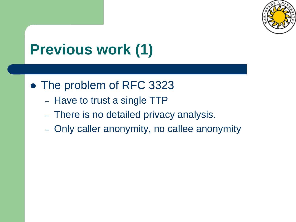

# **Previous work (1)**

- The problem of RFC 3323
	- Have to trust a single TTP
	- There is no detailed privacy analysis.
	- Only caller anonymity, no callee anonymity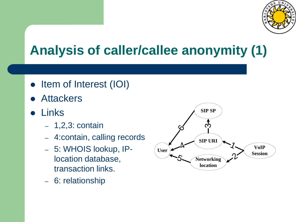

#### **Analysis of caller/callee anonymity (1)**

- Item of Interest (IOI)
- **Attackers**
- Links
	- 1,2,3: contain
	- 4:contain, calling records
	- 5: WHOIS lookup, IPlocation database, transaction links.
	- 6: relationship

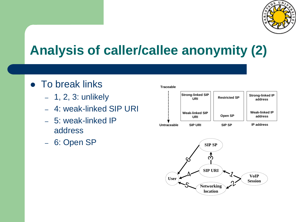

#### **Analysis of caller/callee anonymity (2)**

- To break links
	- 1, 2, 3: unlikely
	- 4: weak-linked SIP URI
	- 5: weak-linked IP address
	- 6: Open SP



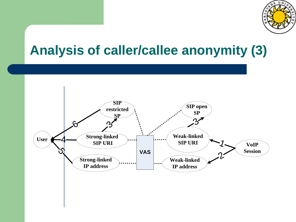

#### **Analysis of caller/callee anonymity (3)**

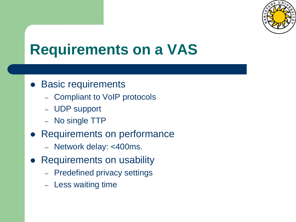

#### **Requirements on a VAS**

- Basic requirements
	- Compliant to VoIP protocols
	- UDP support
	- No single TTP
- Requirements on performance
	- Network delay: <400ms.
- Requirements on usability
	- Predefined privacy settings
	- Less waiting time